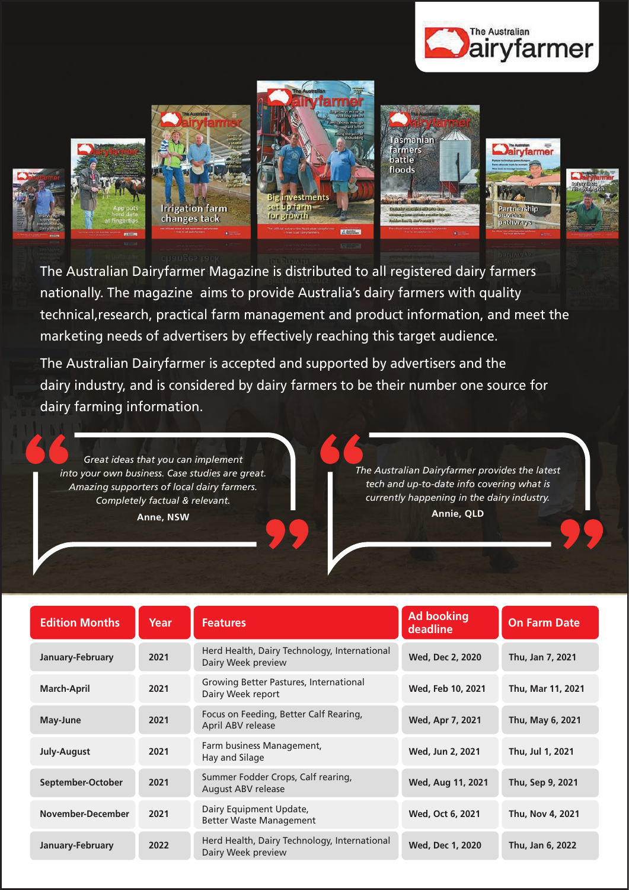













The Australian Dairyfarmer Magazine is distributed to all registered dairy farmers nationally. The magazine aims to provide Australia's dairy farmers with quality technical,research, practical farm management and product information, and meet the marketing needs of advertisers by effectively reaching this target audience.

The Australian Dairyfarmer is accepted and supported by advertisers and the dairy industry, and is considered by dairy farmers to be their number one source for dairy farming information.

*Great ideas that you can implement into your own business. Case studies are great. Amazing supporters of local dairy farmers. Completely factual & relevant.* **Anne, NSW**

*The Australian Dairyfarmer provides the latest tech and up-to-date info covering what is currently happening in the dairy industry.* **Annie, QLD**

| <b>Edition Months</b> | Year | <b>Features</b>                                                    | <b>Ad booking</b><br>deadline | <b>On Farm Date</b> |
|-----------------------|------|--------------------------------------------------------------------|-------------------------------|---------------------|
| January-February      | 2021 | Herd Health, Dairy Technology, International<br>Dairy Week preview | <b>Wed, Dec 2, 2020</b>       | Thu, Jan 7, 2021    |
| <b>March-April</b>    | 2021 | Growing Better Pastures, International<br>Dairy Week report        | Wed, Feb 10, 2021             | Thu, Mar 11, 2021   |
| May-June              | 2021 | Focus on Feeding, Better Calf Rearing,<br>April ABV release        | Wed, Apr 7, 2021              | Thu, May 6, 2021    |
| July-August           | 2021 | Farm business Management,<br>Hay and Silage                        | Wed, Jun 2, 2021              | Thu, Jul 1, 2021    |
| September-October     | 2021 | Summer Fodder Crops, Calf rearing,<br>August ABV release           | Wed, Aug 11, 2021             | Thu, Sep 9, 2021    |
| November-December     | 2021 | Dairy Equipment Update,<br><b>Better Waste Management</b>          | Wed, Oct 6, 2021              | Thu, Nov 4, 2021    |
| January-February      | 2022 | Herd Health, Dairy Technology, International<br>Dairy Week preview | Wed, Dec 1, 2020              | Thu, Jan 6, 2022    |